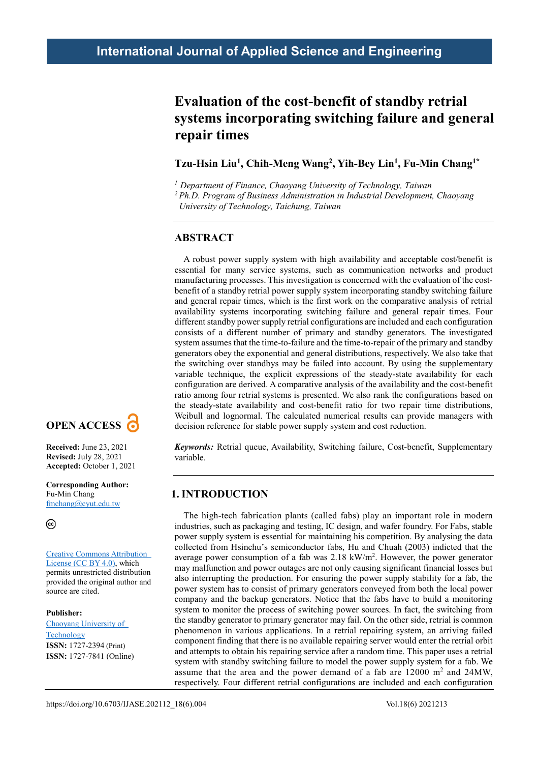## **Evaluation of the cost-benefit of standby retrial systems incorporating switching failure and general repair times**

### **Tzu-Hsin Liu1, Chih-Meng Wang2, Yih-Bey Lin1, Fu-Min Chang1\***

*<sup>1</sup> Department of Finance, Chaoyang University of Technology, Taiwan*

*2 Ph.D. Program of Business Administration in Industrial Development, Chaoyang* 

*University of Technology, Taichung, Taiwan*

### **ABSTRACT**

A robust power supply system with high availability and acceptable cost/benefit is essential for many service systems, such as communication networks and product manufacturing processes. This investigation is concerned with the evaluation of the costbenefit of a standby retrial power supply system incorporating standby switching failure and general repair times, which is the first work on the comparative analysis of retrial availability systems incorporating switching failure and general repair times. Four different standby power supply retrial configurations are included and each configuration consists of a different number of primary and standby generators. The investigated system assumes that the time-to-failure and the time-to-repair of the primary and standby generators obey the exponential and general distributions, respectively. We also take that the switching over standbys may be failed into account. By using the supplementary variable technique, the explicit expressions of the steady-state availability for each configuration are derived. A comparative analysis of the availability and the cost-benefit ratio among four retrial systems is presented. We also rank the configurations based on the steady-state availability and cost-benefit ratio for two repair time distributions, Weibull and lognormal. The calculated numerical results can provide managers with decision reference for stable power supply system and cost reduction.

*Keywords:* Retrial queue, Availability, Switching failure, Cost-benefit, Supplementary variable.

### **1. INTRODUCTION**

The high-tech fabrication plants (called fabs) play an important role in modern industries, such as packaging and testing, IC design, and wafer foundry. For Fabs, stable power supply system is essential for maintaining his competition. By analysing the data collected from Hsinchu's semiconductor fabs, Hu and Chuah (2003) indicted that the average power consumption of a fab was  $2.18 \text{ kW/m}^2$ . However, the power generator may malfunction and power outages are not only causing significant financial losses but also interrupting the production. For ensuring the power supply stability for a fab, the power system has to consist of primary generators conveyed from both the local power company and the backup generators. Notice that the fabs have to build a monitoring system to monitor the process of switching power sources. In fact, the switching from the standby generator to primary generator may fail. On the other side, retrial is common phenomenon in various applications. In a retrial repairing system, an arriving failed component finding that there is no available repairing server would enter the retrial orbit and attempts to obtain his repairing service after a random time. This paper uses a retrial system with standby switching failure to model the power supply system for a fab. We assume that the area and the power demand of a fab are  $12000 \text{ m}^2$  and  $24\text{MW}$ , respectively. Four different retrial configurations are included and each configuration



**Corresponding Author:** Fu-Min Chang fmchang@cyut.edu.tw

 **Copyright:** The Author(s). This is an open access article distributed under the terms of the Creative [Commons Attribution](https://creativecommons.org/licenses/by/4.0/deed.ast) [License \(CC BY 4.0\),](https://creativecommons.org/licenses/by/4.0/deed.ast) which permits unrestricted distribution provided the original author and source are cited.

**Publisher:** [Chaoyang University of](http://web.cyut.edu.tw/index.php?Lang=en) [Technology](http://web.cyut.edu.tw/index.php?Lang=en) **ISSN:** 1727-2394 (Print) **ISSN:** 1727-7841 (Online)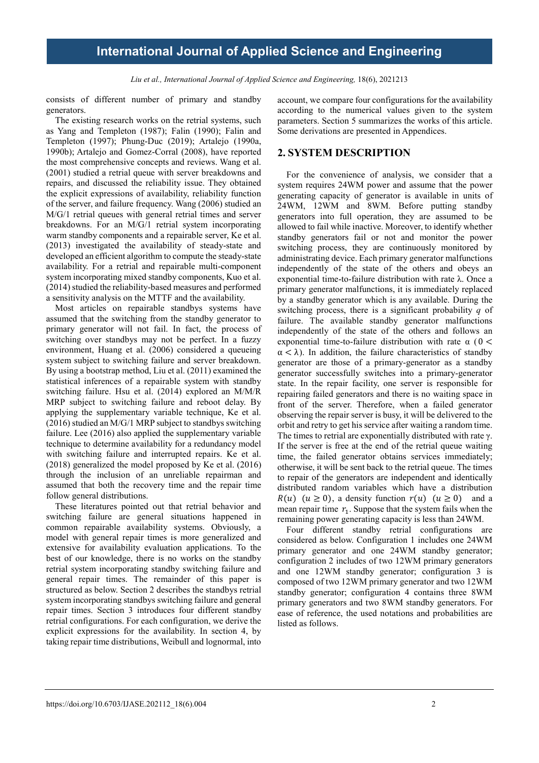Liu et al., International Journal of Applied Science and Engineering, 18(6), 2021213

consists of different number of primary and standby generators.

The existing research works on the retrial systems, such as Yang and Templeton (1987); Falin (1990); Falin and Templeton (1997); Phung-Duc (2019); Artalejo (1990a, 1990b); Artalejo and Gomez-Corral (2008), have reported the most comprehensive concepts and reviews. Wang et al. (2001) studied a retrial queue with server breakdowns and repairs, and discussed the reliability issue. They obtained the explicit expressions of availability, reliability function of the server, and failure frequency. Wang (2006) studied an M/G/1 retrial queues with general retrial times and server breakdowns. For an M/G/1 retrial system incorporating warm standby components and a repairable server, Ke et al. (2013) investigated the availability of steady-state and developed an efficient algorithm to compute the steady-state availability. For a retrial and repairable multi-component system incorporating mixed standby components, Kuo et al. (2014) studied the reliability-based measures and performed a sensitivity analysis on the MTTF and the availability.

Most articles on repairable standbys systems have assumed that the switching from the standby generator to primary generator will not fail. In fact, the process of switching over standbys may not be perfect. In a fuzzy environment, Huang et al. (2006) considered a queueing system subject to switching failure and server breakdown. By using a bootstrap method, Liu et al. (2011) examined the statistical inferences of a repairable system with standby switching failure. Hsu et al. (2014) explored an M/M/R MRP subject to switching failure and reboot delay. By applying the supplementary variable technique, Ke et al. (2016) studied an M/G/1 MRP subject to standbys switching failure. Lee (2016) also applied the supplementary variable technique to determine availability for a redundancy model with switching failure and interrupted repairs. Ke et al. (2018) generalized the model proposed by Ke et al. (2016) through the inclusion of an unreliable repairman and assumed that both the recovery time and the repair time follow general distributions.

These literatures pointed out that retrial behavior and switching failure are general situations happened in common repairable availability systems. Obviously, a model with general repair times is more generalized and extensive for availability evaluation applications. To the best of our knowledge, there is no works on the standby retrial system incorporating standby switching failure and general repair times. The remainder of this paper is structured as below. Section 2 describes the standbys retrial system incorporating standbys switching failure and general repair times. Section 3 introduces four different standby retrial configurations. For each configuration, we derive the explicit expressions for the availability. In section 4, by taking repair time distributions, Weibull and lognormal, into

account, we compare four configurations for the availability according to the numerical values given to the system parameters. Section 5 summarizes the works of this article. Some derivations are presented in Appendices.

### **2. SYSTEM DESCRIPTION**

For the convenience of analysis, we consider that a system requires 24WM power and assume that the power generating capacity of generator is available in units of 24WM, 12WM and 8WM. Before putting standby generators into full operation, they are assumed to be allowed to fail while inactive. Moreover, to identify whether standby generators fail or not and monitor the power switching process, they are continuously monitored by administrating device. Each primary generator malfunctions independently of the state of the others and obeys an exponential time-to-failure distribution with rate λ. Once a primary generator malfunctions, it is immediately replaced by a standby generator which is any available. During the switching process, there is a significant probability *q* of failure. The available standby generator malfunctions independently of the state of the others and follows an exponential time-to-failure distribution with rate  $\alpha$  (0 <  $\alpha < \lambda$ ). In addition, the failure characteristics of standby generator are those of a primary-generator as a standby generator successfully switches into a primary-generator state. In the repair facility, one server is responsible for repairing failed generators and there is no waiting space in front of the server. Therefore, when a failed generator observing the repair server is busy, it will be delivered to the orbit and retry to get his service after waiting a random time. The times to retrial are exponentially distributed with rate γ. If the server is free at the end of the retrial queue waiting time, the failed generator obtains services immediately; otherwise, it will be sent back to the retrial queue. The times to repair of the generators are independent and identically distributed random variables which have a distribution  $R(u)$   $(u \ge 0)$ , a density function  $r(u)$   $(u \ge 0)$  and a mean repair time  $r_1$ . Suppose that the system fails when the remaining power generating capacity is less than 24WM.

Four different standby retrial configurations are considered as below. Configuration 1 includes one 24WM primary generator and one 24WM standby generator; configuration 2 includes of two 12WM primary generators and one 12WM standby generator; configuration 3 is composed of two 12WM primary generator and two 12WM standby generator; configuration 4 contains three 8WM primary generators and two 8WM standby generators. For ease of reference, the used notations and probabilities are listed as follows.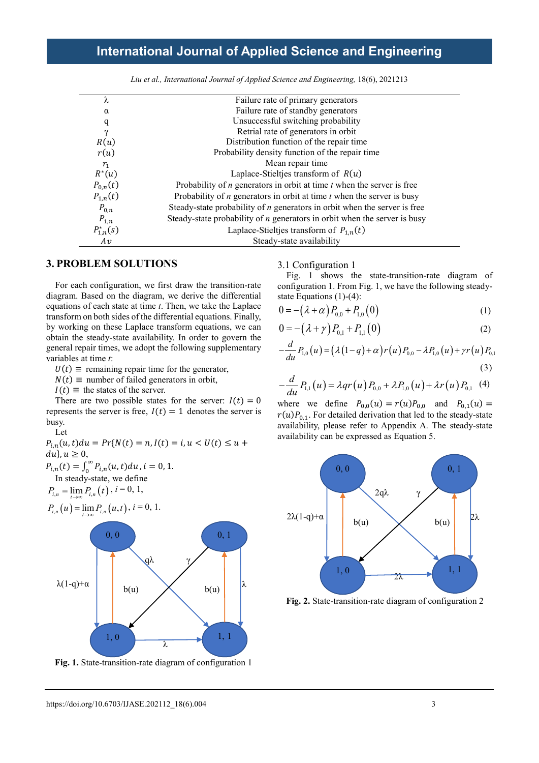| λ              | Failure rate of primary generators                                          |
|----------------|-----------------------------------------------------------------------------|
| α              | Failure rate of standby generators                                          |
| q              | Unsuccessful switching probability                                          |
| γ              | Retrial rate of generators in orbit                                         |
| R(u)           | Distribution function of the repair time                                    |
| r(u)           | Probability density function of the repair time                             |
| $r_{1}$        | Mean repair time                                                            |
| $R^*(u)$       | Laplace-Stieltjes transform of $R(u)$                                       |
| $P_{0,n}(t)$   | Probability of $n$ generators in orbit at time $t$ when the server is free  |
| $P_{1,n}(t)$   | Probability of $n$ generators in orbit at time $t$ when the server is busy  |
| $P_{0,n}$      | Steady-state probability of $n$ generators in orbit when the server is free |
| $P_{1,n}$      | Steady-state probability of $n$ generators in orbit when the server is busy |
| $P_{1,n}^*(s)$ | Laplace-Stieltjes transform of $P_{1,n}(t)$                                 |
| Av             | Steady-state availability                                                   |
|                |                                                                             |

Liu et al., International Journal of Applied Science and Engineering, 18(6), 2021213

### **3. PROBLEM SOLUTIONS**

For each configuration, we first draw the transition-rate diagram. Based on the diagram, we derive the differential equations of each state at time *t*. Then, we take the Laplace transform on both sides of the differential equations. Finally, by working on these Laplace transform equations, we can obtain the steady-state availability. In order to govern the general repair times, we adopt the following supplementary variables at time *t*:

 $U(t) \equiv$  remaining repair time for the generator,

 $N(t) \equiv$  number of failed generators in orbit,

 $I(t) \equiv$  the states of the server.

There are two possible states for the server:  $I(t) = 0$ represents the server is free,  $I(t) = 1$  denotes the server is busy.

Let

 $P_{i,n}(u,t)du = Pr{N(t) = n, I(t) = i, u < U(t) \le u +$  $du$ ,  $u \geq 0$ ,  $P_{i,n}(t) = \int_0^\infty P_{i,n}(u,t) du$ ,  $i = 0, 1$ . In steady-state, we define  $P_{i,n} = \lim_{t \to \infty} P_{i,n}(t), i = 0, 1,$ 

$$
P_{i,n}(u) = \lim_{t \to \infty} P_{i,n}(u,t), i = 0, 1.
$$



**Fig. 1.** State-transition-rate diagram of configuration 1

3.1 Configuration 1

Fig. 1 shows the state-transition-rate diagram of configuration 1. From Fig. 1, we have the following steadystate Equations (1)-(4):

$$
0 = -(\lambda + \alpha) P_{0,0} + P_{1,0}(0) \tag{1}
$$

$$
0 = -(\lambda + \gamma) P_{0,1} + P_{1,1}(0) \tag{2}
$$

$$
-\frac{d}{du}P_{1,0}(u) = (\lambda(1-q) + \alpha)r(u)P_{0,0} - \lambda P_{1,0}(u) + \gamma r(u)P_{0,1}
$$
\n(3)

$$
-\frac{d}{du}P_{1,1}(u) = \lambda qr(u)P_{0,0} + \lambda P_{1,0}(u) + \lambda r(u)P_{0,1}(4)
$$

where we define  $P_{0,0}(u) = r(u)P_{0,0}$  and  $P_{0,1}(u) =$  $r(u)P_{0,1}$ . For detailed derivation that led to the steady-state availability, please refer to Appendix A. The steady-state availability can be expressed as Equation 5.



**Fig. 2.** State-transition-rate diagram of configuration 2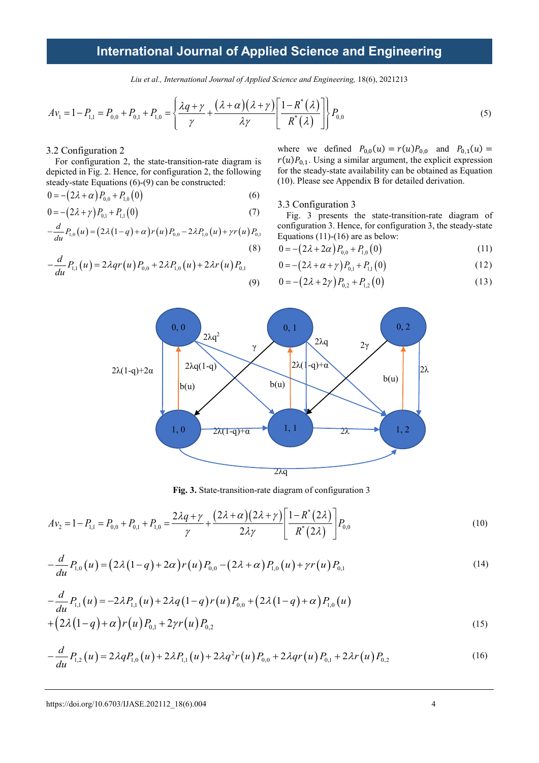*Liu et al., International Journal of Applied Science and Engineering,* 18(6), 2021213

$$
Av_1 = 1 - P_{1,1} = P_{0,0} + P_{0,1} + P_{1,0} = \left\{ \frac{\lambda q + \gamma}{\gamma} + \frac{(\lambda + \alpha)(\lambda + \gamma)}{\lambda \gamma} \left[ \frac{1 - R^*(\lambda)}{R^*(\lambda)} \right] \right\} P_{0,0}
$$
(5)

#### 3.2 Configuration 2

For configuration 2, the state-transition-rate diagram is depicted in Fig. 2. Hence, for configuration 2, the following steady-state Equations (6)-(9) can be constructed:

$$
0 = -\left(2\lambda + \alpha\right)P_{0,0} + P_{1,0}(0) \tag{6}
$$

$$
0 = -\left(2\lambda + \gamma\right)P_{0,1} + P_{1,1}\left(0\right) \tag{7}
$$

$$
-\frac{d}{du}P_{1,0}(u) = (2\lambda(1-q) + \alpha)r(u)P_{0,0} - 2\lambda P_{1,0}(u) + \gamma r(u)P_{0,1}
$$
\n(8)

$$
-\frac{d}{du}P_{1,1}(u) = 2\lambda qr(u)P_{0,0} + 2\lambda P_{1,0}(u) + 2\lambda r(u)P_{0,1}
$$
\n(9)

where we defined  $P_{0,0}(u) = r(u)P_{0,0}$  and  $P_{0,1}(u) =$  $r(u)P_{0,1}$ . Using a similar argument, the explicit expression for the steady-state availability can be obtained as Equation (10). Please see Appendix B for detailed derivation.

3.3 Configuration 3

Fig. 3 presents the state-transition-rate diagram of configuration 3. Hence, for configuration 3, the steady-state Equations (11)-(16) are as below:

$$
0 = -\left(2\lambda + 2\alpha\right)P_{0,0} + P_{1,0}(0) \tag{11}
$$

$$
0 = -\left(2\lambda + \alpha + \gamma\right)P_{0,1} + P_{1,1}(0) \tag{12}
$$

$$
0 = -\left(2\lambda + 2\gamma\right)P_{0,2} + P_{1,2}\left(0\right) \tag{13}
$$



**Fig. 3.** State-transition-rate diagram of configuration 3

$$
Av_2 = 1 - P_{1,1} = P_{0,0} + P_{0,1} + P_{1,0} = \frac{2\lambda q + \gamma}{\gamma} + \frac{(2\lambda + \alpha)(2\lambda + \gamma)}{2\lambda \gamma} \left[ \frac{1 - R^*(2\lambda)}{R^*(2\lambda)} \right] P_{0,0}
$$
\n(10)

$$
-\frac{d}{du}P_{1,0}(u) = (2\lambda(1-q) + 2\alpha)r(u)P_{0,0} - (2\lambda + \alpha)P_{1,0}(u) + \gamma r(u)P_{0,1}
$$
\n(14)

$$
-\frac{d}{du}P_{1,1}(u) = -2\lambda P_{1,1}(u) + 2\lambda q (1-q) r(u) P_{0,0} + (2\lambda (1-q) + \alpha) P_{1,0}(u) + (2\lambda (1-q) + \alpha) r(u) P_{0,1} + 2\gamma r(u) P_{0,2}
$$
\n(15)

$$
-\frac{d}{du}P_{1,2}(u) = 2\lambda q P_{1,0}(u) + 2\lambda P_{1,1}(u) + 2\lambda q^2 r(u) P_{0,0} + 2\lambda qr(u) P_{0,1} + 2\lambda r(u) P_{0,2}
$$
\n(16)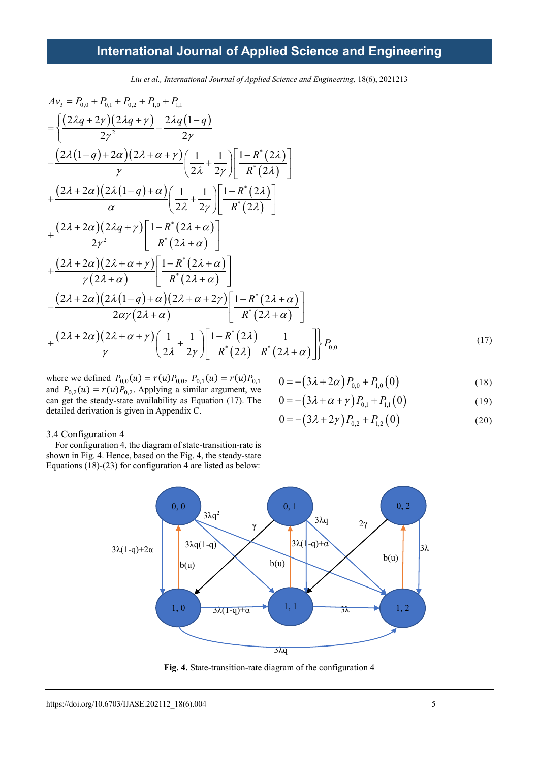*Liu et al., International Journal of Applied Science and Engineering,* 18(6), 2021213

$$
Av_{3} = P_{0,0} + P_{0,1} + P_{0,2} + P_{1,0} + P_{1,1}
$$
\n
$$
= \left\{ \frac{(2\lambda q + 2\gamma)(2\lambda q + \gamma)}{2\gamma^{2}} - \frac{2\lambda q(1-q)}{2\gamma} \right\}
$$
\n
$$
- \frac{(2\lambda (1-q) + 2\alpha)(2\lambda + \alpha + \gamma)}{\gamma} \left( \frac{1}{2\lambda} + \frac{1}{2\gamma} \right) \left[ \frac{1 - R^{*}(2\lambda)}{R^{*}(2\lambda)} \right]
$$
\n
$$
+ \frac{(2\lambda + 2\alpha)(2\lambda (1-q) + \alpha)}{\alpha} \left( \frac{1}{2\lambda} + \frac{1}{2\gamma} \right) \left[ \frac{1 - R^{*}(2\lambda)}{R^{*}(2\lambda)} \right]
$$
\n
$$
+ \frac{(2\lambda + 2\alpha)(2\lambda q + \gamma)}{2\gamma^{2}} \left[ \frac{1 - R^{*}(2\lambda + \alpha)}{R^{*}(2\lambda + \alpha)} \right]
$$
\n
$$
+ \frac{(2\lambda + 2\alpha)(2\lambda + \alpha + \gamma)}{\gamma(2\lambda + \alpha)} \left[ \frac{1 - R^{*}(2\lambda + \alpha)}{R^{*}(2\lambda + \alpha)} \right]
$$
\n
$$
- \frac{(2\lambda + 2\alpha)(2\lambda (1-q) + \alpha)(2\lambda + \alpha + 2\gamma)}{2\alpha\gamma(2\lambda + \alpha)} \left[ \frac{1 - R^{*}(2\lambda + \alpha)}{R^{*}(2\lambda + \alpha)} \right]
$$
\n
$$
+ \frac{(2\lambda + 2\alpha)(2\lambda + \alpha + \gamma)}{\gamma} \left( \frac{1}{2\lambda} + \frac{1}{2\gamma} \right) \left[ \frac{1 - R^{*}(2\lambda)}{R^{*}(2\lambda)} \frac{1}{R^{*}(2\lambda + \alpha)} \right] P_{0,0}
$$
\n(17)

where we defined  $P_{0,0}(u) = r(u)P_{0,0}, P_{0,1}(u) = r(u)P_{0,1}$ and  $P_{0,2}(u) = r(u)P_{0,2}$ . Applying a similar argument, we can get the steady-state availability as Equation (17). The detailed derivation is given in Appendix C.

$$
0 = -\left(3\lambda + 2\alpha\right)P_{0,0} + P_{1,0}\left(0\right) \tag{18}
$$

$$
0 = -\left(3\lambda + \alpha + \gamma\right)P_{0,1} + P_{1,1}(0) \tag{19}
$$

$$
0 = -\left(3\lambda + 2\gamma\right)P_{0,2} + P_{1,2}\left(0\right) \tag{20}
$$

#### 3.4 Configuration 4

For configuration 4, the diagram of state-transition-rate is shown in Fig. 4. Hence, based on the Fig. 4, the steady-state Equations (18)-(23) for configuration 4 are listed as below:



**Fig. 4.** State-transition-rate diagram of the configuration 4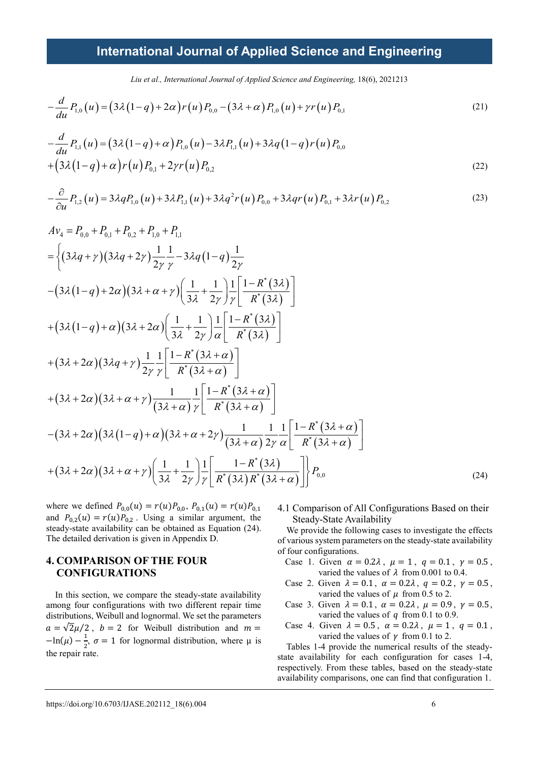Liu et al., International Journal of Applied Science and Engineering, 18(6), 2021213

$$
-\frac{d}{du}P_{1,0}(u) = (3\lambda(1-q) + 2\alpha)r(u)P_{0,0} - (3\lambda + \alpha)P_{1,0}(u) + \gamma r(u)P_{0,1}
$$
\n(21)

$$
-\frac{d}{du}P_{1,1}(u) = (3\lambda(1-q) + \alpha)P_{1,0}(u) - 3\lambda P_{1,1}(u) + 3\lambda q(1-q)r(u)P_{0,0}
$$
  
 
$$
+ (3\lambda(1-q) + \alpha)r(u)P_{0,1} + 2\gamma r(u)P_{0,2}
$$
 (22)

$$
-\frac{\partial}{\partial u}P_{1,2}(u) = 3\lambda q P_{1,0}(u) + 3\lambda P_{1,1}(u) + 3\lambda q^2 r(u) P_{0,0} + 3\lambda qr(u) P_{0,1} + 3\lambda r(u) P_{0,2}
$$
\n(23)

$$
Av_{4} = P_{0,0} + P_{0,1} + P_{0,2} + P_{1,0} + P_{1,1}
$$
  
\n
$$
= \left\{ (3\lambda q + \gamma) (3\lambda q + 2\gamma) \frac{1}{2\gamma} \frac{1}{\gamma} - 3\lambda q (1 - q) \frac{1}{2\gamma} - (3\lambda (1 - q) + 2\alpha) (3\lambda + \alpha + \gamma) \left( \frac{1}{3\lambda} + \frac{1}{2\gamma} \right) \frac{1}{\gamma} \left[ \frac{1 - R^{*}(3\lambda)}{R^{*}(3\lambda)} \right] \right\}
$$
  
\n
$$
+ (3\lambda (1 - q) + \alpha) (3\lambda + 2\alpha) \left( \frac{1}{3\lambda} + \frac{1}{2\gamma} \right) \frac{1}{\alpha} \left[ \frac{1 - R^{*}(3\lambda)}{R^{*}(3\lambda)} \right]
$$
  
\n
$$
+ (3\lambda + 2\alpha) (3\lambda q + \gamma) \frac{1}{2\gamma} \frac{1}{\gamma} \left[ \frac{1 - R^{*}(3\lambda + \alpha)}{R^{*}(3\lambda + \alpha)} \right]
$$
  
\n
$$
+ (3\lambda + 2\alpha) (3\lambda + \alpha + \gamma) \frac{1}{(3\lambda + \alpha)} \frac{1}{\gamma} \left[ \frac{1 - R^{*}(3\lambda + \alpha)}{R^{*}(3\lambda + \alpha)} \right]
$$
  
\n
$$
- (3\lambda + 2\alpha) (3\lambda (1 - q) + \alpha) (3\lambda + \alpha + 2\gamma) \frac{1}{(3\lambda + \alpha)} \frac{1}{2\gamma} \frac{1}{\alpha} \left[ \frac{1 - R^{*}(3\lambda + \alpha)}{R^{*}(3\lambda + \alpha)} \right]
$$
  
\n
$$
+ (3\lambda + 2\alpha) (3\lambda + \alpha + \gamma) \left( \frac{1}{3\lambda} + \frac{1}{2\gamma} \right) \frac{1}{\gamma} \left[ \frac{1 - R^{*}(3\lambda)}{R^{*}(3\lambda)R^{*}(3\lambda + \alpha)} \right] P_{0,0}
$$
  
\n(24)

where we defined  $P_{0,0}(u) = r(u)P_{0,0}, P_{0,1}(u) = r(u)P_{0,1}$ and  $P_{0,2}(u) = r(u)P_{0,2}$ . Using a similar argument, the steady-state availability can be obtained as Equation (24). The detailed derivation is given in Appendix D.

### **4. COMPARISON OF THE FOUR CONFIGURATIONS**

In this section, we compare the steady-state availability among four configurations with two different repair time distributions, Weibull and lognormal. We set the parameters  $a = \sqrt{2\mu}/2$ ,  $b = 2$  for Weibull distribution and  $m =$  $-\ln(\mu) - \frac{1}{2}$ ,  $\sigma = 1$  for lognormal distribution, where  $\mu$  is the repair rate.

#### 4.1 Comparison of All Configurations Based on their Steady-State Availability

We provide the following cases to investigate the effects of various system parameters on the steady-state availability of four configurations.

- Case 1. Given  $\alpha = 0.2\lambda$ ,  $\mu = 1$ ,  $q = 0.1$ ,  $\gamma = 0.5$ , varied the values of  $\lambda$  from 0.001 to 0.4.
- Case 2. Given  $\lambda = 0.1$ ,  $\alpha = 0.2\lambda$ ,  $q = 0.2$ ,  $\gamma = 0.5$ , varied the values of  $\mu$  from 0.5 to 2.
- Case 3. Given  $\lambda = 0.1$ ,  $\alpha = 0.2\lambda$ ,  $\mu = 0.9$ ,  $\gamma = 0.5$ , varied the values of  $q$  from 0.1 to 0.9.
- Case 4. Given  $\lambda = 0.5$ ,  $\alpha = 0.2\lambda$ ,  $\mu = 1$ ,  $q = 0.1$ , varied the values of  $\gamma$  from 0.1 to 2.

Tables 1-4 provide the numerical results of the steadystate availability for each configuration for cases 1-4, respectively. From these tables, based on the steady-state availability comparisons, one can find that configuration 1.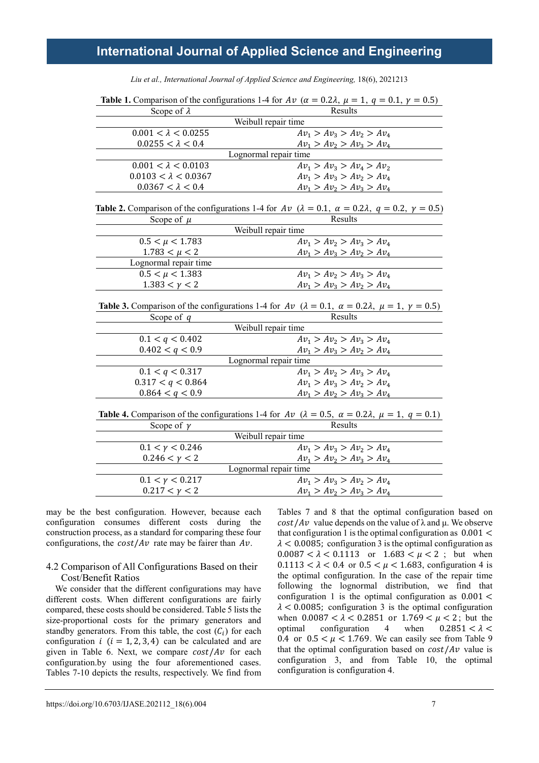| <b>Table 1.</b> Comparison of the configurations 1-4 for Av ( $\alpha = 0.2\lambda$ , $\mu = 1$ , $q = 0.1$ , $\gamma = 0.5$ )         |                             |  |  |  |  |
|----------------------------------------------------------------------------------------------------------------------------------------|-----------------------------|--|--|--|--|
| Scope of $\lambda$                                                                                                                     | Results                     |  |  |  |  |
| Weibull repair time                                                                                                                    |                             |  |  |  |  |
| $0.001 < \lambda < 0.0255$                                                                                                             | $Av_1 > Av_2 > Av_2 > Av_4$ |  |  |  |  |
| $0.0255 < \lambda < 0.4$                                                                                                               | $Av_1 > Av_2 > Av_3 > Av_4$ |  |  |  |  |
| Lognormal repair time                                                                                                                  |                             |  |  |  |  |
| $0.001 < \lambda < 0.0103$                                                                                                             | $Av_1 > Av_3 > Av_4 > Av_2$ |  |  |  |  |
| $0.0103 < \lambda < 0.0367$                                                                                                            | $Av_1 > Av_3 > Av_2 > Av_4$ |  |  |  |  |
| $0.0367 < \lambda < 0.4$                                                                                                               | $Av_1 > Av_2 > Av_3 > Av_4$ |  |  |  |  |
| <b>Table 2.</b> Comparison of the configurations 1-4 for $Av$ ( $\lambda = 0.1$ , $\alpha = 0.2\lambda$ , $q = 0.2$ , $\gamma = 0.5$ ) |                             |  |  |  |  |
| Scope of $\mu$                                                                                                                         | Results                     |  |  |  |  |
| Weibull repair time                                                                                                                    |                             |  |  |  |  |
| $0.5 < \mu < 1.783$                                                                                                                    | $Av_1 > Av_2 > Av_3 > Av_4$ |  |  |  |  |
| $1.783 < \mu < 2$                                                                                                                      | $Av_1 > Av_3 > Av_2 > Av_4$ |  |  |  |  |
| Lognormal repair time                                                                                                                  |                             |  |  |  |  |
| $0.5 < \mu < 1.383$                                                                                                                    | $Av_1 > Av_2 > Av_3 > Av_4$ |  |  |  |  |
| $1.383 < \gamma < 2$                                                                                                                   | $Av_1 > Av_3 > Av_2 > Av_4$ |  |  |  |  |
| <b>Table 3.</b> Comparison of the configurations 1-4 for Av ( $\lambda = 0.1$ , $\alpha = 0.2\lambda$ , $\mu = 1$ , $\gamma = 0.5$ )   |                             |  |  |  |  |
| Scope of $q$                                                                                                                           | Results                     |  |  |  |  |
|                                                                                                                                        | Weibull repair time         |  |  |  |  |
| 0.1 < q < 0.402                                                                                                                        | $Av_1 > Av_2 > Av_3 > Av_4$ |  |  |  |  |
| 0.402 < q < 0.9                                                                                                                        | $Av_1 > Av_2 > Av_2 > Av_4$ |  |  |  |  |
| Lognormal repair time                                                                                                                  |                             |  |  |  |  |
| 0.1 < q < 0.317                                                                                                                        | $Av_1 > Av_2 > Av_3 > Av_4$ |  |  |  |  |
| 0.317 < q < 0.864                                                                                                                      | $Av_1 > Av_3 > Av_2 > Av_4$ |  |  |  |  |
| 0.864 < q < 0.9                                                                                                                        | $Av_1 > Av_2 > Av_3 > Av_4$ |  |  |  |  |
| <b>Table 4.</b> Comparison of the configurations 1-4 for Av ( $\lambda = 0.5$ , $\alpha = 0.2\lambda$ , $\mu = 1$ , $q = 0.1$ )        |                             |  |  |  |  |
| Scope of $\gamma$                                                                                                                      | Results                     |  |  |  |  |
| Weibull repair time                                                                                                                    |                             |  |  |  |  |
| $0.1 < \gamma < 0.246$                                                                                                                 | $Av_1 > Av_3 > Av_2 > Av_4$ |  |  |  |  |
| $0.246 < \gamma < 2$                                                                                                                   | $Av_1 > Av_2 > Av_3 > Av_4$ |  |  |  |  |
| Lognormal repair time                                                                                                                  |                             |  |  |  |  |
| $0.1 < \gamma < 0.217$                                                                                                                 | $Av_1 > Av_3 > Av_2 > Av_4$ |  |  |  |  |
| $0.217 < \gamma < 2$                                                                                                                   | $Av_1 > Av_2 > Av_3 > Av_4$ |  |  |  |  |

Liu et al., International Journal of Applied Science and Engineering, 18(6), 2021213

may be the best configuration. However, because each configuration consumes different costs during the construction process, as a standard for comparing these four configurations, the  $cost/Av$  rate may be fairer than  $Av$ .

#### 4.2 Comparison of All Configurations Based on their Cost/Benefit Ratios

We consider that the different configurations may have different costs. When different configurations are fairly compared, these costs should be considered. Table 5 lists the size-proportional costs for the primary generators and standby generators. From this table, the cost  $(C_i)$  for each configuration  $i$  ( $i = 1, 2, 3, 4$ ) can be calculated and are given in Table 6. Next, we compare  $cost/Av$  for each configuration.by using the four aforementioned cases. Tables 7-10 depicts the results, respectively. We find from

Tables 7 and 8 that the optimal configuration based on  $cost/Av$  value depends on the value of  $\lambda$  and  $\mu$ . We observe that configuration 1 is the optimal configuration as  $0.001 <$  $\lambda$  < 0.0085; configuration 3 is the optimal configuration as  $0.0087 < \lambda < 0.1113$  or  $1.683 < \mu < 2$ ; but when  $0.1113 < \lambda < 0.4$  or  $0.5 < \mu < 1.683$ , configuration 4 is the optimal configuration. In the case of the repair time following the lognormal distribution, we find that configuration 1 is the optimal configuration as  $0.001 \leq$  $\lambda$  < 0.0085; configuration 3 is the optimal configuration when  $0.0087 < \lambda < 0.2851$  or  $1.769 < \mu < 2$ ; but the optimal configuration 4 when  $0.2851 < \lambda <$ configuration 0.4 or  $0.5 < \mu < 1.769$ . We can easily see from Table 9 that the optimal configuration based on  $cost/Av$  value is configuration 3, and from Table 10, the optimal configuration is configuration 4.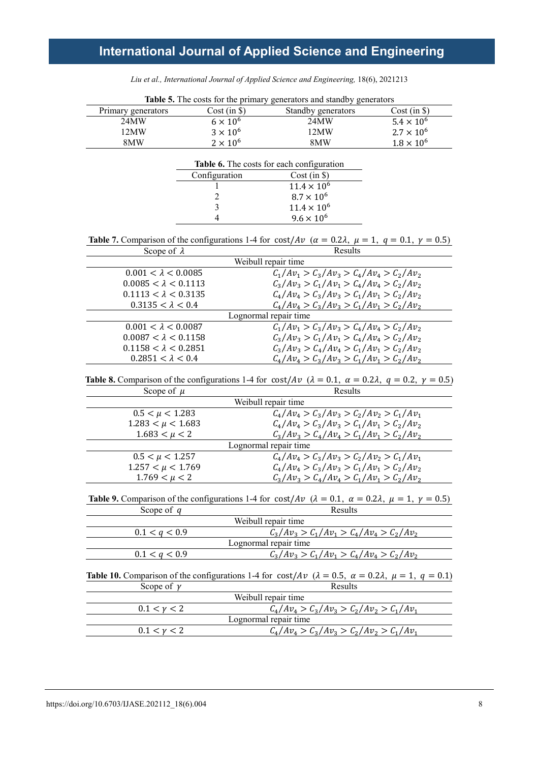*Liu et al., International Journal of Applied Science and Engineering,* 18(6), 2021213

|                                                                                                                                                |                 | Table 5. The costs for the primary generators and standby generators                                                                                     |                     |  |  |
|------------------------------------------------------------------------------------------------------------------------------------------------|-----------------|----------------------------------------------------------------------------------------------------------------------------------------------------------|---------------------|--|--|
| Primary generators                                                                                                                             | $Cost (in \$))$ | Standby generators                                                                                                                                       | $Cost (in \$))$     |  |  |
| 24MW                                                                                                                                           | $6\times10^6$   | 24MW                                                                                                                                                     | $5.4 \times 10^{6}$ |  |  |
| 12MW                                                                                                                                           | $3 \times 10^6$ | 12MW                                                                                                                                                     | $2.7 \times 10^{6}$ |  |  |
| 8MW                                                                                                                                            | $2 \times 10^6$ | 8MW                                                                                                                                                      | $1.8 \times 10^{6}$ |  |  |
|                                                                                                                                                |                 |                                                                                                                                                          |                     |  |  |
|                                                                                                                                                |                 | Table 6. The costs for each configuration                                                                                                                |                     |  |  |
|                                                                                                                                                | Configuration   | $Cost (in \$))$                                                                                                                                          |                     |  |  |
|                                                                                                                                                |                 | $11.4 \times 10^{6}$                                                                                                                                     |                     |  |  |
|                                                                                                                                                | 2               | $8.7 \times 10^{6}$                                                                                                                                      |                     |  |  |
|                                                                                                                                                | 3               | $11.4 \times 10^{6}$                                                                                                                                     |                     |  |  |
|                                                                                                                                                | 4               | $9.6 \times 10^{6}$                                                                                                                                      |                     |  |  |
|                                                                                                                                                |                 | Table 7. Comparison of the configurations 1-4 for cost/ $Av$ ( $\alpha = 0.2\lambda$ , $\mu = 1$ , $q = 0.1$ , $\gamma = 0.5$ )                          |                     |  |  |
| Scope of $\lambda$                                                                                                                             |                 | Results                                                                                                                                                  |                     |  |  |
|                                                                                                                                                |                 | Weibull repair time                                                                                                                                      |                     |  |  |
| $0.001 < \lambda < 0.0085$                                                                                                                     |                 | $C_1/Av_1 > C_3/Av_3 > C_4/Av_4 > C_2/Av_2$                                                                                                              |                     |  |  |
| $0.0085 < \lambda < 0.1113$                                                                                                                    |                 | $C_3/Av_3 > C_1/Av_1 > C_4/Av_4 > C_2/Av_2$                                                                                                              |                     |  |  |
| $0.1113 < \lambda < 0.3135$                                                                                                                    |                 | $C_4/Av_4 > C_3/Av_3 > C_1/Av_1 > C_2/Av_2$                                                                                                              |                     |  |  |
| $0.3135 < \lambda < 0.4$                                                                                                                       |                 | $C_4/Av_4 > C_3/Av_3 > C_1/Av_1 > C_2/Av_2$                                                                                                              |                     |  |  |
|                                                                                                                                                |                 | Lognormal repair time                                                                                                                                    |                     |  |  |
| $0.001 < \lambda < 0.0087$                                                                                                                     |                 | $C_1/Av_1 > C_3/Av_3 > C_4/Av_4 > C_2/Av_2$                                                                                                              |                     |  |  |
| $0.0087 < \lambda < 0.1158$                                                                                                                    |                 | $C_3/Av_3 > C_1/Av_1 > C_4/Av_4 > C_2/Av_2$                                                                                                              |                     |  |  |
| $0.1158 < \lambda < 0.2851$                                                                                                                    |                 | $C_3/Av_3 > C_4/Av_4 > C_1/Av_1 > C_2/Av_2$                                                                                                              |                     |  |  |
| $0.2851 < \lambda < 0.4$                                                                                                                       |                 | $C_4/Av_4 > C_3/Av_3 > C_1/Av_1 > C_2/Av_2$                                                                                                              |                     |  |  |
| Scope of $\mu$                                                                                                                                 |                 | <b>Table 8.</b> Comparison of the configurations 1-4 for $\cos t/Av$ ( $\lambda = 0.1$ , $\alpha = 0.2\lambda$ , $q = 0.2$ , $\gamma = 0.5$ )<br>Results |                     |  |  |
|                                                                                                                                                |                 | Weibull repair time                                                                                                                                      |                     |  |  |
| $0.5 < \mu < 1.283$                                                                                                                            |                 | $C_4/Av_4 > C_3/Av_3 > C_2/Av_2 > C_1/Av_1$                                                                                                              |                     |  |  |
| $1.283 < \mu < 1.683$                                                                                                                          |                 | $C_{4}/Av_{4} > C_{3}/Av_{3} > C_{1}/Av_{1} > C_{2}/Av_{2}$                                                                                              |                     |  |  |
| $1.683 < \mu < 2$                                                                                                                              |                 | $C_3/Av_3 > C_4/Av_4 > C_1/Av_1 > C_2/Av_2$                                                                                                              |                     |  |  |
|                                                                                                                                                |                 | Lognormal repair time                                                                                                                                    |                     |  |  |
| $0.5 < \mu < 1.257$                                                                                                                            |                 | $C_4/Av_4 > C_3/Av_3 > C_2/Av_2 > C_1/Av_1$                                                                                                              |                     |  |  |
| $1.257 < \mu < 1.769$                                                                                                                          |                 | $C_4/Av_4 > C_3/Av_3 > C_1/Av_1 > C_2/Av_2$                                                                                                              |                     |  |  |
| $1.769 < \mu < 2$                                                                                                                              |                 | $C_3/Av_3 > C_4/Av_4 > C_1/Av_1 > C_2/Av_2$                                                                                                              |                     |  |  |
| <b>Table 9.</b> Comparison of the configurations 1-4 for $\cot A \nu$ ( $\lambda = 0.1$ , $\alpha = 0.2\lambda$ , $\mu = 1$ , $\gamma = 0.5$ ) |                 |                                                                                                                                                          |                     |  |  |
| Scope of $q$                                                                                                                                   |                 | Results                                                                                                                                                  |                     |  |  |
|                                                                                                                                                |                 | Weibull repair time                                                                                                                                      |                     |  |  |
| 0.1 < q < 0.9                                                                                                                                  |                 | $C_3/Av_3 > C_1/Av_1 > C_4/Av_4 > C_2/Av_2$                                                                                                              |                     |  |  |
|                                                                                                                                                |                 | Lognormal repair time                                                                                                                                    |                     |  |  |
| 0.1 < q < 0.9                                                                                                                                  |                 | $C_3/Av_3 > C_1/Av_1 > C_4/Av_4 > C_2/Av_2$                                                                                                              |                     |  |  |
|                                                                                                                                                |                 | Table 10. Comparison of the configurations 1-4 for cost/Av $(\lambda = 0.5, \alpha = 0.2\lambda, \mu = 1, q = 0.1)$                                      |                     |  |  |
| Scope of $\gamma$                                                                                                                              |                 | Results                                                                                                                                                  |                     |  |  |
|                                                                                                                                                |                 | Weibull repair time                                                                                                                                      |                     |  |  |
| $0.1 < \gamma < 2$                                                                                                                             |                 | $C_4/Av_4 > C_3/Av_3 > C_2/Av_2 > C_1/Av_1$                                                                                                              |                     |  |  |
|                                                                                                                                                |                 | Lognormal repair time                                                                                                                                    |                     |  |  |
| $0.1 < \gamma < 2$                                                                                                                             |                 | $C_4/Av_4 > C_3/Av_3 > C_2/Av_2 > C_1/Av_1$                                                                                                              |                     |  |  |
|                                                                                                                                                |                 |                                                                                                                                                          |                     |  |  |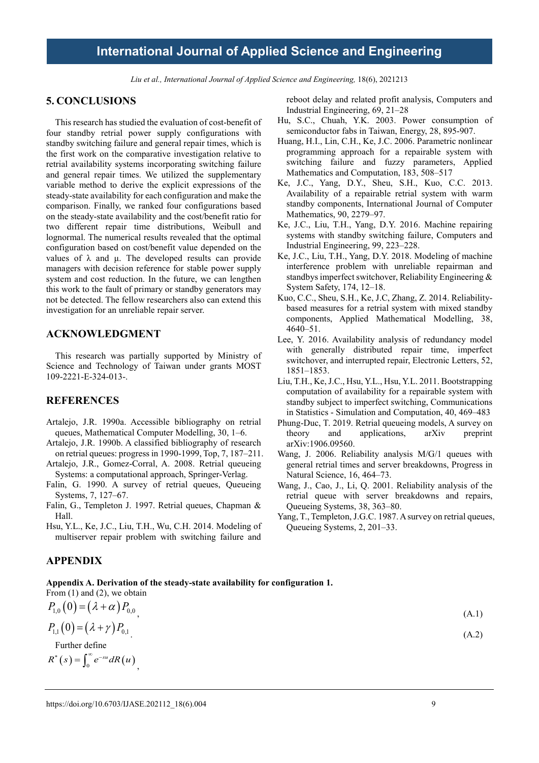Liu et al., International Journal of Applied Science and Engineering, 18(6), 2021213

#### **5. CONCLUSIONS**

This research has studied the evaluation of cost-benefit of four standby retrial power supply configurations with standby switching failure and general repair times, which is the first work on the comparative investigation relative to retrial availability systems incorporating switching failure and general repair times. We utilized the supplementary variable method to derive the explicit expressions of the steady-state availability for each configuration and make the comparison. Finally, we ranked four configurations based on the steady-state availability and the cost/benefit ratio for two different repair time distributions, Weibull and lognormal. The numerical results revealed that the optimal configuration based on cost/benefit value depended on the values of λ and μ. The developed results can provide managers with decision reference for stable power supply system and cost reduction. In the future, we can lengthen this work to the fault of primary or standby generators may not be detected. The fellow researchers also can extend this investigation for an unreliable repair server.

### **ACKNOWLEDGMENT**

This research was partially supported by Ministry of Science and Technology of Taiwan under grants MOST 109-2221-E-324-013-.

### **REFERENCES**

- Artalejo, J.R. 1990a. Accessible bibliography on retrial queues, Mathematical Computer Modelling, 30, 1–6.
- Artalejo, J.R. 1990b. A classified bibliography of research on retrial queues: progress in 1990-1999, Top, 7, 187–211.
- Artalejo, J.R., Gomez-Corral, A. 2008. Retrial queueing Systems: a computational approach, Springer-Verlag.
- Falin, G. 1990. A survey of retrial queues, Queueing Systems, 7, 127–67.
- Falin, G., Templeton J. 1997. Retrial queues, Chapman & Hall.
- Hsu, Y.L., Ke, J.C., Liu, T.H., Wu, C.H. 2014. Modeling of multiserver repair problem with switching failure and

### **APPENDIX**

**Appendix A. Derivation of the steady-state availability for configuration 1.**

From  $(1)$  and  $(2)$ , we obtain  $P_{1,0} (0) = (\lambda + \alpha) P_{0,0}$  (A.1)  $P_{1,1}(0) = (\lambda + \gamma) P_{0,1}$  (A.2) Further define

 $R^*(s) = \int_0^\infty e^{-su} dR(u)$ ,

reboot delay and related profit analysis, Computers and Industrial Engineering, 69, 21–28

- Hu, S.C., Chuah, Y.K. 2003. Power consumption of semiconductor fabs in Taiwan, Energy, 28, 895-907.
- Huang, H.I., Lin, C.H., Ke, J.C. 2006. Parametric nonlinear programming approach for a repairable system with switching failure and fuzzy parameters, Applied Mathematics and Computation, 183, 508–517
- Ke, J.C., Yang, D.Y., Sheu, S.H., Kuo, C.C. 2013. Availability of a repairable retrial system with warm standby components, International Journal of Computer Mathematics, 90, 2279–97.
- Ke, J.C., Liu, T.H., Yang, D.Y. 2016. Machine repairing systems with standby switching failure, Computers and Industrial Engineering, 99, 223–228.
- Ke, J.C., Liu, T.H., Yang, D.Y. 2018. Modeling of machine interference problem with unreliable repairman and standbys imperfect switchover, Reliability Engineering & System Safety, 174, 12–18.
- Kuo, C.C., Sheu, S.H., Ke, J.C, Zhang, Z. 2014. Reliabilitybased measures for a retrial system with mixed standby components, Applied Mathematical Modelling, 38, 4640–51.
- Lee, Y. 2016. Availability analysis of redundancy model with generally distributed repair time, imperfect switchover, and interrupted repair, Electronic Letters, 52, 1851–1853.
- Liu, T.H., Ke, J.C., Hsu, Y.L., Hsu, Y.L. 2011. Bootstrapping computation of availability for a repairable system with standby subject to imperfect switching, Communications in Statistics - Simulation and Computation, 40, 469–483
- Phung-Duc, T. 2019. Retrial queueing models, A survey on theory and applications, arXiv preprint arXiv:1906.09560.
- Wang, J. 2006. Reliability analysis M/G/1 queues with general retrial times and server breakdowns, Progress in Natural Science, 16, 464–73.
- Wang, J., Cao, J., Li, Q. 2001. Reliability analysis of the retrial queue with server breakdowns and repairs, Queueing Systems, 38, 363–80.
- Yang, T., Templeton, J.G.C. 1987. A survey on retrial queues, Queueing Systems, 2, 201–33.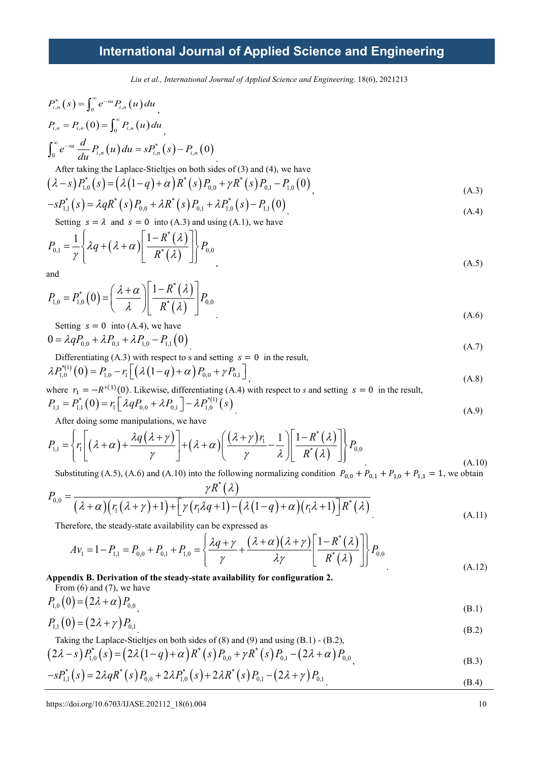*Liu et al., International Journal of Applied Science and Engineering,* 18(6), 2021213

$$
P_{i,n}^{*}(s) = \int_{0}^{\infty} e^{-su} P_{i,n}(u) du
$$
  
\n
$$
P_{i,n} = P_{i,n}(0) = \int_{0}^{\infty} P_{i,n}(u) du
$$
  
\n
$$
\int_{0}^{\infty} e^{-su} \frac{d}{du} P_{i,n}(u) du = s P_{i,n}^{*}(s) - P_{i,n}(0)
$$
  
\nAfter taking the Laplace-Stieltjes on both sides of (3) and (4), we have

$$
(\lambda - s) P_{1,0}^*(s) = (\lambda (1 - q) + \alpha) R^*(s) P_{0,0} + \gamma R^*(s) P_{0,1} - P_{1,0} (0)
$$
\n(A.3)

$$
-sP_{1,1}^{*}(s) = \lambda qR^{*}(s)P_{0,0} + \lambda R^{*}(s)P_{0,1} + \lambda P_{1,0}^{*}(s) - P_{1,1}(0)
$$
\n(A.4)

Setting  $s = \lambda$  and  $s = 0$  into (A.3) and using (A.1), we have

$$
P_{0,1} = \frac{1}{\gamma} \left\{ \lambda q + \left( \lambda + \alpha \right) \left[ \frac{1 - R^*(\lambda)}{R^*(\lambda)} \right] \right\} P_{0,0}
$$
\nand

\n
$$
(A.5)
$$

and

$$
P_{1,0} = P_{1,0}^*(0) = \left(\frac{\lambda + \alpha}{\lambda}\right) \left[\frac{1 - R^*(\lambda)}{R^*(\lambda)}\right] P_{0,0}
$$
  
Setting s = 0 into (A, 4) we have

$$
0 = \lambda q P_{0,0} + \lambda P_{0,1} + \lambda P_{1,0} - P_{1,1}(0)
$$
\n(A.7)

Differentiating (A.3) with respect to s and setting  $s = 0$  in the result,  $\lambda P_{1,0}^{*(1)}(0) = P_{1,0} - r_1 \left[ \left( \lambda \left( 1 - q \right) + \alpha \right) P_{0,0} + \gamma P_{0,1} \right]_1$  (A.8)

where 
$$
r_1 = -R^{*(1)}(0)
$$
. Likewise, differentiating (A.4) with respect to *s* and setting  $s = 0$  in the result,  
\n
$$
P_{1,1} = P_{1,1}^*(0) = r_1 \left[ \lambda q P_{0,0} + \lambda P_{0,1} \right] - \lambda P_{1,0}^{*(1)}(s)
$$
\n(A.9)

After doing some manipulations, we have

$$
P_{1,1} = \left\{ r_1 \left[ (\lambda + \alpha) + \frac{\lambda q(\lambda + \gamma)}{\gamma} \right] + (\lambda + \alpha) \left( \frac{(\lambda + \gamma) r_1}{\gamma} - \frac{1}{\lambda} \right) \left[ \frac{1 - R^*(\lambda)}{R^*(\lambda)} \right] \right\} P_{0,0}
$$
\n(A.10)

Substituting (A.5), (A.6) and (A.10) into the following normalizing condition  $P_{0,0} + P_{0,1} + P_{1,0} + P_{1,1} = 1$ , we obtain

$$
P_{0,0} = \frac{\gamma R^*(\lambda)}{(\lambda + \alpha)(r_1(\lambda + \gamma) + 1) + [\gamma(r_1\lambda q + 1) - (\lambda(1 - q) + \alpha)(r_1\lambda + 1)]R^*(\lambda)}
$$
\nThus for the rate that exist is not a equilibrium, the current is  $r_1$  and  $r_2$ .

\n(A.11)

Therefore, the steady-state availability can be expressed as

$$
Av_1 = 1 - P_{1,1} = P_{0,0} + P_{0,1} + P_{1,0} = \left\{ \frac{\lambda q + \gamma}{\gamma} + \frac{(\lambda + \alpha)(\lambda + \gamma)}{\lambda \gamma} \left[ \frac{1 - R^*(\lambda)}{R^*(\lambda)} \right] \right\} P_{0,0}
$$
\n(A.12)

### **Appendix B. Derivation of the steady-state availability for configuration 2.**

From (6) and (7), we have  
\n
$$
P_{1,0}(0) = (2\lambda + \alpha) P_{0,0}
$$
\n(B.1)

$$
P_{1,1}(0) = (2\lambda + \gamma) P_{0,1} \tag{B.2}
$$

Taking the Laplace-Stieltjes on both sides of (8) and (9) and using (B.1) - (B.2),

$$
(2\lambda - s) P_{1,0}^*(s) = (2\lambda (1 - q) + \alpha) R^*(s) P_{0,0} + \gamma R^*(s) P_{0,1} - (2\lambda + \alpha) P_{0,0} - s P_{1,1}^*(s) = 2\lambda q R^*(s) P_{0,0} + 2\lambda P_{1,0}^*(s) + 2\lambda R^*(s) P_{0,1} - (2\lambda + \gamma) P_{0,1} - (2\lambda + \gamma) P_{0,1} - (2\lambda + \gamma) P_{0,2} - (8\lambda + \gamma) P_{0,2} - (8\lambda + \gamma) P_{0,1} - (8\lambda + \gamma) P_{0,2} - (8\lambda + \gamma) P_{0,1} - (8\lambda + \gamma) P_{0,2} - (8\lambda + \gamma) P_{0,1} - (8\lambda + \gamma) P_{0,2} - (8\lambda + \gamma) P_{0,1} - (8\lambda + \gamma) P_{0,2} - (8\lambda + \gamma) P_{0,1} - (8\lambda + \gamma) P_{0,2} - (8\lambda + \gamma) P_{0,1} - (8\lambda + \gamma) P_{0,2} - (8\lambda + \gamma) P_{0,2} - (8\lambda + \gamma) P_{0,1} - (8\lambda + \gamma) P_{0,2} - (8\lambda + \gamma) P_{0,1} - (8\lambda + \gamma) P_{0,2} - (8\lambda + \gamma) P_{0,2} - (8\lambda + \gamma) P_{0,1} - (8\lambda + \gamma) P_{0,2} - (8\lambda + \gamma) P_{0,1} - (8\lambda + \gamma) P_{0,2} - (8\lambda + \gamma) P_{0,2} - (8\lambda + \gamma) P_{0,1} - (8\lambda + \gamma) P_{0,2} - (8\lambda + \gamma) P_{0,1} - (8\lambda + \gamma) P_{0,2} - (8\lambda + \gamma) P_{0,1} - (8\lambda + \gamma) P_{0,2} - (8\lambda + \gamma) P_{0,2} - (8\lambda + \gamma) P_{0,1} - (8\lambda + \gamma) P_{0,2} - (8\lambda + \gamma) P_{0,1} - (8\lambda + \gamma) P_{0,2} - (8\lambda + \gamma) P_{0,1} - (8\lambda + \gamma) P_{0,2} - (8\lambda + \gamma) P_{0,1} - (8\lambda + \gamma) P_{0,2
$$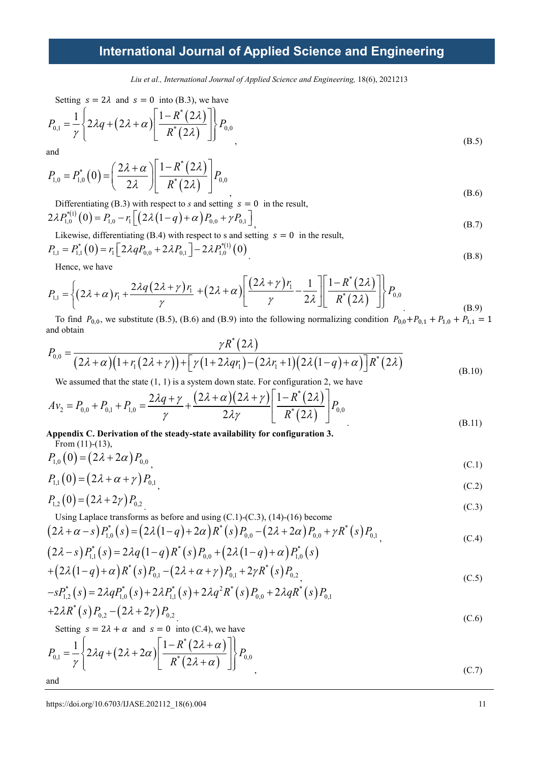*Liu et al., International Journal of Applied Science and Engineering,* 18(6), 2021213

Setting 
$$
s = 2\lambda
$$
 and  $s = 0$  into (B.3), we have

$$
P_{0,1} = \frac{1}{\gamma} \left\{ 2\lambda q + (2\lambda + \alpha) \left[ \frac{1 - R^*(2\lambda)}{R^*(2\lambda)} \right] \right\} P_{0,0}
$$
\n(B.5)

a

$$
P_{1,0} = P_{1,0}^{*}(0) = \left(\frac{2\lambda + \alpha}{2\lambda}\right) \left[\frac{1 - R^{*}(2\lambda)}{R^{*}(2\lambda)}\right] P_{0,0}
$$
\n(B.6)

Differentiating (B.3) with respect to *s* and setting  $s = 0$  in the result,  $2\lambda P_{1,0}^{*(1)}(0) = P_{1,0} - r_1 \left[ \left( 2\lambda (1-q) + \alpha \right) P_{0,0} + \gamma P_{0,1} \right]_1$  (B.7)

Likewise, differentiating (B.4) with respect to s and setting  $s = 0$  in the result,

$$
P_{1,1} = P_{1,1}^*(0) = r_1 \left[ 2\lambda q P_{0,0} + 2\lambda P_{0,1} \right] - 2\lambda P_{1,0}^{*(1)}(0)
$$
\n(B.8)

Hence, we have

$$
P_{1,1} = \left\{ (2\lambda + \alpha) r_1 + \frac{2\lambda q (2\lambda + \gamma) r_1}{\gamma} + (2\lambda + \alpha) \left[ \frac{(2\lambda + \gamma) r_1}{\gamma} - \frac{1}{2\lambda} \right] \left[ \frac{1 - R^*(2\lambda)}{R^*(2\lambda)} \right] \right\} P_{0,0}
$$
\n
$$
\text{To find } P_{0,1}
$$
\n
$$
\text{To find } P_{1,1} \text{ we substitute (B.5), (B.6) and (B.9) into the following normalization conditions } P_{1,1} + P_{2,1} + P_{3,1} \tag{B.9}
$$

To find  $P_{0,0}$ , we substitute (B.5), (B.6) and (B.9) into the following normalizing condition  $P_{0,0}+P_{0,1}+P_{1,0}+P_{1,1}=1$ and obtain  $\mathbf{r}$ 

$$
P_{0,0} = \frac{\gamma R^*(2\lambda)}{(2\lambda + \alpha)(1 + r_1(2\lambda + \gamma)) + [\gamma(1 + 2\lambda qr_1) - (2\lambda r_1 + 1)(2\lambda(1 - q) + \alpha)]R^*(2\lambda)}
$$
\nWe assumed that the state (1, 1) is a system down state. For configuration 2, we have

\n
$$
(B.10)
$$

We assumed that the state  $(1, 1)$  is a system down state. For configuration 2, we have

$$
Av_2 = P_{0,0} + P_{0,1} + P_{1,0} = \frac{2\lambda q + \gamma}{\gamma} + \frac{(2\lambda + \alpha)(2\lambda + \gamma)}{2\lambda \gamma} \left[ \frac{1 - R^*(2\lambda)}{R^*(2\lambda)} \right] P_{0,0}
$$
\n(B.11)

Appendix C. Derivation of the steady-state availability for configuration 3. 
$$
From (11)-(13)
$$

$$
P_{1,0}(0) = (2\lambda + 2\alpha) P_{0,0}
$$
 (C.1)

$$
P_{1,1}(0) = (2\lambda + \alpha + \gamma) P_{0,1} \tag{C.2}
$$

$$
P_{1,2}(0) = (2\lambda + 2\gamma) P_{0,2} \tag{C.3}
$$

Using Laplace transforms as before and using (C.1)-(C.3), (14)-(16) become

$$
(2\lambda + \alpha - s) P_{1,0}^*(s) = (2\lambda (1 - q) + 2\alpha) R^*(s) P_{0,0} - (2\lambda + 2\alpha) P_{0,0} + \gamma R^*(s) P_{0,1} (2\lambda - s) P_{1,1}^*(s) = 2\lambda q (1 - q) R^*(s) P_{0,0} + (2\lambda (1 - q) + \alpha) P_{1,0}^*(s)
$$
 (C.4)

$$
+\big(2\lambda(1-q)+\alpha\big)R^*(s)P_{0,1}-\big(2\lambda+\alpha+\gamma\big)P_{0,1}+2\gamma R^*(s)P_{0,2}\Big) \hspace{1cm} (C.5)
$$

$$
-sP_{1,2}^*(s) = 2\lambda q P_{1,0}^*(s) + 2\lambda P_{1,1}^*(s) + 2\lambda q^2 R^*(s) P_{0,0} + 2\lambda q R^*(s) P_{0,1} + 2\lambda R^*(s) P_{0,2} - (2\lambda + 2\gamma) P_{0,2}
$$
\n
$$
(G \cap S)
$$

$$
+2\lambda R^*(s)P_{0,2} - (2\lambda + 2\gamma)P_{0,2}
$$
  
Setting  $s = 2\lambda + \alpha$  and  $s = 0$  into (C.4) we have

Setting  $s = 2\lambda + \alpha$  and  $s = 0$  into (C.4), we have

$$
P_{0,1} = \frac{1}{\gamma} \left\{ 2\lambda q + (2\lambda + 2\alpha) \left[ \frac{1 - R^*(2\lambda + \alpha)}{R^*(2\lambda + \alpha)} \right] \right\} P_{0,0}
$$
\nand\n
$$
(C.7)
$$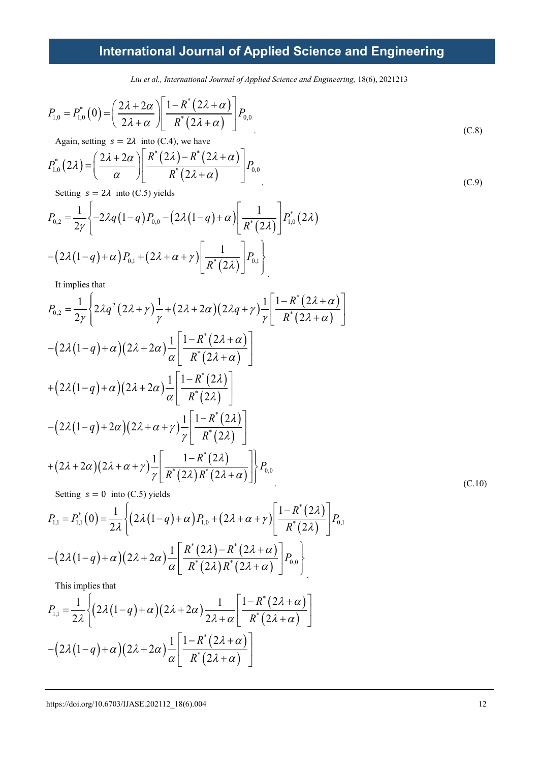*Liu et al., International Journal of Applied Science and Engineering,* 18(6), 2021213

$$
P_{1,0} = P_{1,0}^*(0) = \left(\frac{2\lambda + 2\alpha}{2\lambda + \alpha}\right) \left[\frac{1 - R^*(2\lambda + \alpha)}{R^*(2\lambda + \alpha)}\right] P_{0,0}
$$
  
Again, setting  $s = 2\lambda$  into (C.4), we have

Again, setting  $s = 2\lambda$  into (C.4), we have

$$
P_{1,0}^*(2\lambda) = \left(\frac{2\lambda + 2\alpha}{\alpha}\right) \left[ \frac{R^*(2\lambda) - R^*(2\lambda + \alpha)}{R^*(2\lambda + \alpha)} \right] P_{0,0}
$$
  
Setting  $s = 2\lambda$  into (C.5) yields

 $\log s = 2\lambda$  into (C.5) yields

$$
P_{0,2} = \frac{1}{2\gamma} \left\{ -2\lambda q (1-q) P_{0,0} - (2\lambda (1-q) + \alpha) \left[ \frac{1}{R^*(2\lambda)} \right] P_{1,0}^*(2\lambda) - (2\lambda (1-q) + \alpha) P_{0,1} + (2\lambda + \alpha + \gamma) \left[ \frac{1}{R^*(2\lambda)} \right] P_{0,1} \right\}
$$

It implies that

$$
P_{0,2} = \frac{1}{2\gamma} \left\{ 2\lambda q^2 (2\lambda + \gamma) \frac{1}{\gamma} + (2\lambda + 2\alpha)(2\lambda q + \gamma) \frac{1}{\gamma} \left[ \frac{1 - R^*(2\lambda + \alpha)}{R^*(2\lambda + \alpha)} \right] \right\}
$$

$$
-(2\lambda(1-q) + \alpha)(2\lambda + 2\alpha) \frac{1}{\alpha} \left[ \frac{1 - R^*(2\lambda + \alpha)}{R^*(2\lambda + \alpha)} \right]
$$

$$
+(2\lambda(1-q) + \alpha)(2\lambda + 2\alpha) \frac{1}{\alpha} \left[ \frac{1 - R^*(2\lambda)}{R^*(2\lambda)} \right]
$$

$$
-(2\lambda(1-q) + 2\alpha)(2\lambda + \alpha + \gamma) \frac{1}{\gamma} \left[ \frac{1 - R^*(2\lambda)}{R^*(2\lambda)} \right]
$$

$$
+(2\lambda + 2\alpha)(2\lambda + \alpha + \gamma) \frac{1}{\gamma} \left[ \frac{1 - R^*(2\lambda)}{R^*(2\lambda)R^*(2\lambda + \alpha)} \right] \right\} P_{0,0}
$$

$$
f(x) = 0 \text{ into } (C.5) \text{ yields}
$$
(C.10)

$$
P_{1,1} = P_{1,1}^{*}(0) = \frac{1}{2\lambda} \left\{ (2\lambda(1-q) + \alpha) P_{1,0} + (2\lambda + \alpha + \gamma) \left[ \frac{1 - R^{*}(2\lambda)}{R^{*}(2\lambda)} \right] P_{0,1} \right\}
$$

$$
- (2\lambda(1-q) + \alpha) (2\lambda + 2\alpha) \frac{1}{\alpha} \left[ \frac{R^{*}(2\lambda) - R^{*}(2\lambda + \alpha)}{R^{*}(2\lambda)R^{*}(2\lambda + \alpha)} \right] P_{0,0}
$$

This implies that

$$
P_{1,1} = \frac{1}{2\lambda} \Biggl\{ \Biggl( 2\lambda \bigl( 1-q \bigr) + \alpha \Bigl) \Biggl( 2\lambda + 2\alpha \Bigl) \frac{1}{2\lambda + \alpha} \Biggl[ \frac{1 - R^*(2\lambda + \alpha)}{R^*(2\lambda + \alpha)} \Biggr] - \Biggl( 2\lambda \bigl( 1-q \bigr) + \alpha \Bigl) \Biggl( 2\lambda + 2\alpha \Bigl) \frac{1}{\alpha} \Biggl[ \frac{1 - R^*(2\lambda + \alpha)}{R^*(2\lambda + \alpha)} \Biggr]
$$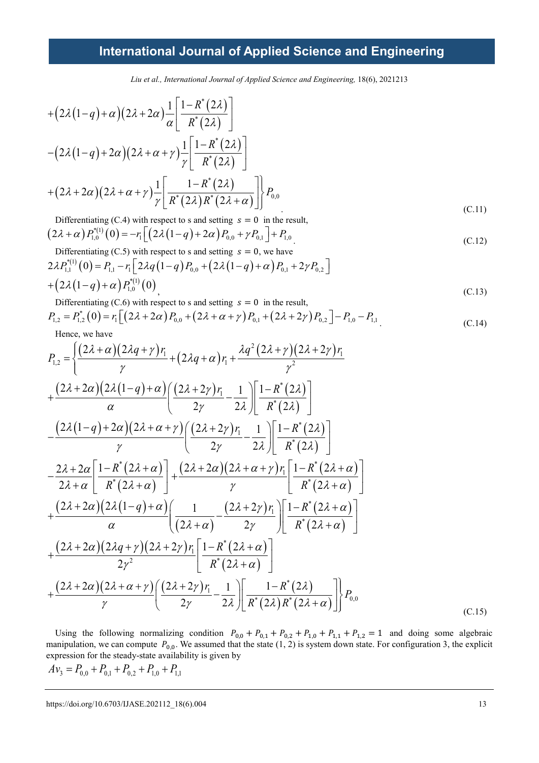*Liu et al., International Journal of Applied Science and Engineering,* 18(6), 2021213

$$
+(2\lambda(1-q)+\alpha)(2\lambda+2\alpha)\frac{1}{\alpha}\left[\frac{1-R^*(2\lambda)}{R^*(2\lambda)}\right]
$$

$$
-(2\lambda(1-q)+2\alpha)(2\lambda+\alpha+\gamma)\frac{1}{\gamma}\left[\frac{1-R^*(2\lambda)}{R^*(2\lambda)}\right]
$$

$$
+(2\lambda+2\alpha)(2\lambda+\alpha+\gamma)\frac{1}{\gamma}\left[\frac{1-R^*(2\lambda)}{R^*(2\lambda)R^*(2\lambda+\alpha)}\right]_{0,0}^{1}P_{0,0}
$$
(C.11)

Differentiating (C.4) with respect to s and setting  $s = 0$  in the result,  $(2\lambda + \alpha) P_{1,0}^{*(1)}(0) = -r_1 \left[ \left( 2\lambda (1-q) + 2\alpha \right) P_{0,0} + \gamma P_{0,1} \right] + P_{1,0}$  (C.12)

Differentiating (C.5) with respect to s and setting 
$$
s = 0
$$
, we have  
\n
$$
2\lambda P_{1,1}^{*(1)}(0) = P_{1,1} - r_1 \left[ 2\lambda q (1 - q) P_{0,0} + (2\lambda (1 - q) + \alpha) P_{0,1} + 2\gamma P_{0,2} \right]
$$
\n
$$
+ (2\lambda (1 - q) + \alpha) P_{1,0}^{*(1)}(0)
$$
\n(C.13)

Differentiating (C.6) with respect to s and setting  $s = 0$  in the result,

$$
P_{1,2} = P_{1,2}^{*}(0) = r_1 \left[ \left( 2\lambda + 2\alpha \right) P_{0,0} + \left( 2\lambda + \alpha + \gamma \right) P_{0,1} + \left( 2\lambda + 2\gamma \right) P_{0,2} \right] - P_{1,0} - P_{1,1}
$$
\nHence, we have

\n
$$
(C.14)
$$

Hence, we have

$$
P_{1,2} = \left\{ \frac{(2\lambda + \alpha)(2\lambda q + \gamma) r_1}{\gamma} + (2\lambda q + \alpha) r_1 + \frac{\lambda q^2 (2\lambda + \gamma)(2\lambda + 2\gamma) r_1}{\gamma^2} + \frac{(2\lambda + 2\alpha)(2\lambda (1 - q) + \alpha)(2\lambda + 2\gamma) r_1}{\alpha} - \frac{1}{2\lambda} \right\} \left[ \frac{1 - R^*(2\lambda)}{R^*(2\lambda)} \right]
$$
  
 
$$
- \frac{(2\lambda (1 - q) + 2\alpha)(2\lambda + \alpha + \gamma)}{\gamma} \left( \frac{(2\lambda + 2\gamma) r_1}{2\gamma} - \frac{1}{2\lambda} \right) \left[ \frac{1 - R^*(2\lambda)}{R^*(2\lambda)} \right]
$$
  
 
$$
- \frac{2\lambda + 2\alpha}{2\lambda + \alpha} \left[ \frac{1 - R^*(2\lambda + \alpha)}{R^*(2\lambda + \alpha)} \right] + \frac{(2\lambda + 2\alpha)(2\lambda + \alpha + \gamma) r_1}{\gamma} \left[ \frac{1 - R^*(2\lambda + \alpha)}{R^*(2\lambda + \alpha)} \right]
$$
  
 
$$
+ \frac{(2\lambda + 2\alpha)(2\lambda (1 - q) + \alpha)}{\alpha} \left( \frac{1}{(2\lambda + \alpha)} - \frac{(2\lambda + 2\gamma) r_1}{2\gamma} \right) \left[ \frac{1 - R^*(2\lambda + \alpha)}{R^*(2\lambda + \alpha)} \right]
$$
  
 
$$
+ \frac{(2\lambda + 2\alpha)(2\lambda q + \gamma)(2\lambda + 2\gamma) r_1}{2\gamma^2} \left[ \frac{1 - R^*(2\lambda + \alpha)}{R^*(2\lambda + \alpha)} \right]
$$
  
 
$$
+ \frac{(2\lambda + 2\alpha)(2\lambda + \alpha + \gamma)}{\gamma} \left( \frac{(2\lambda + 2\gamma) r_1}{2\gamma} - \frac{1}{2\lambda} \right) \left[ \frac{1 - R^*(2\lambda)}{R^*(2\lambda)R^*(2\lambda + \alpha)} \right] P_{0,0}
$$
 (C.15)

Using the following normalizing condition  $P_{0,0} + P_{0,1} + P_{0,2} + P_{1,0} + P_{1,1} + P_{1,2} = 1$  and doing some algebraic manipulation, we can compute  $P_{0,0}$ . We assumed that the state  $(1, 2)$  is system down state. For configuration 3, the explicit expression for the steady-state availability is given by

$$
Av_3 = P_{0,0} + P_{0,1} + P_{0,2} + P_{1,0} + P_{1,1}
$$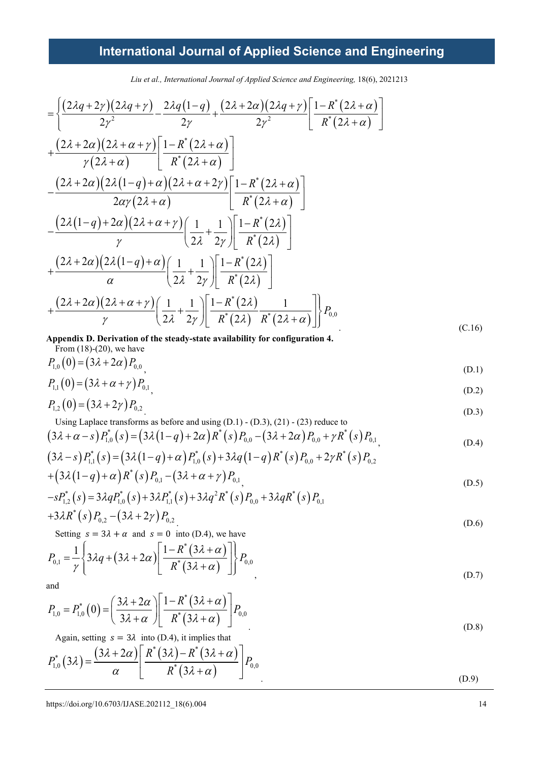*Liu et al., International Journal of Applied Science and Engineering,* 18(6), 2021213

$$
= \left\{ \frac{(2\lambda q + 2\gamma)(2\lambda q + \gamma)}{2\gamma^2} - \frac{2\lambda q(1-q)}{2\gamma} + \frac{(2\lambda + 2\alpha)(2\lambda q + \gamma)}{2\gamma^2} \left[ \frac{1 - R^*(2\lambda + \alpha)}{R^*(2\lambda + \alpha)} \right] \right\}
$$
  
+ 
$$
\frac{(2\lambda + 2\alpha)(2\lambda + \alpha + \gamma)}{\gamma(2\lambda + \alpha)} \left[ \frac{1 - R^*(2\lambda + \alpha)}{R^*(2\lambda + \alpha)} \right]
$$
  
- 
$$
\frac{(2\lambda + 2\alpha)(2\lambda(1-q) + \alpha)(2\lambda + \alpha + 2\gamma)}{2\alpha\gamma(2\lambda + \alpha)} \left[ \frac{1 - R^*(2\lambda + \alpha)}{R^*(2\lambda + \alpha)} \right]
$$
  
- 
$$
\frac{(2\lambda(1-q) + 2\alpha)(2\lambda + \alpha + \gamma)}{\gamma} \left( \frac{1}{2\lambda} + \frac{1}{2\gamma} \right) \left[ \frac{1 - R^*(2\lambda)}{R^*(2\lambda)} \right]
$$
  
+ 
$$
\frac{(2\lambda + 2\alpha)(2\lambda(1-q) + \alpha)}{\alpha} \left( \frac{1}{2\lambda} + \frac{1}{2\gamma} \right) \left[ \frac{1 - R^*(2\lambda)}{R^*(2\lambda)} \right]
$$
  
+ 
$$
\frac{(2\lambda + 2\alpha)(2\lambda + \alpha + \gamma)}{\gamma} \left( \frac{1}{2\lambda} + \frac{1}{2\gamma} \right) \left[ \frac{1 - R^*(2\lambda)}{R^*(2\lambda)} \frac{1}{R^*(2\lambda + \alpha)} \right] P_{0,0}
$$
  
Appendix D. Derivation of the steady-state availability for configuration 4. (C.16)

**Appendix D. Derivation of the steady-state availability for configuration 4.** From  $(18)-(20)$ , we have

$$
P_{1,0}(0) = (3\lambda + 2\alpha) P_{0,0}
$$
 (D.1)

$$
P_{1,1}(0) = (3\lambda + \alpha + \gamma) P_{0,1}, \tag{D.2}
$$

$$
P_{1,2}(0) = (3\lambda + 2\gamma) P_{0,2} \tag{D.3}
$$

Using Laplace transforms as before and using (D.1) - (D.3), (21) - (23) reduce to

$$
(3\lambda + \alpha - s) P_{1,0}^*(s) = (3\lambda (1 - q) + 2\alpha) R^*(s) P_{0,0} - (3\lambda + 2\alpha) P_{0,0} + \gamma R^*(s) P_{0,1}
$$
  
\n
$$
(3\lambda - s) P_{1,1}^*(s) = (3\lambda (1 - q) + \alpha) P_{1,0}^*(s) + 3\lambda q (1 - q) R^*(s) P_{0,0} + 2\gamma R^*(s) P_{0,2}
$$
 (D.4)

$$
(3\lambda - s) P_{1,1}^*(s) = (3\lambda (1 - q) + \alpha) P_{1,0}^*(s) + 3\lambda q (1 - q) R^*(s) P_{0,0} + 2\gamma R^*(s) P_{0,2}
$$
  
+  $(3\lambda (1 - q) + \alpha) R^*(s) P_{0,1} - (3\lambda + \alpha + \gamma) P_{0,1}$  (D.5)

$$
-sP_{1,2}^{*}(s) = 3\lambda q P_{1,0}^{*}(s) + 3\lambda P_{1,1}^{*}(s) + 3\lambda q^{2} R^{*}(s) P_{0,0} + 3\lambda q R^{*}(s) P_{0,1}
$$
  
+3\lambda R^{\*}(s) P\_{0,2} - (3\lambda + 2\gamma) P\_{0,2} (D.6)

Setting 
$$
s = 3\lambda + \alpha
$$
 and  $s = 0$  into (D.4), we have

$$
P_{0,1} = \frac{1}{\gamma} \left\{ 3\lambda q + (3\lambda + 2\alpha) \left[ \frac{1 - R^*(3\lambda + \alpha)}{R^*(3\lambda + \alpha)} \right] \right\} P_{0,0}
$$
\n(D.7)

and

$$
P_{1,0} = P_{1,0}^*(0) = \left(\frac{3\lambda + 2\alpha}{3\lambda + \alpha}\right) \left[\frac{1 - R^*(3\lambda + \alpha)}{R^*(3\lambda + \alpha)}\right] P_{0,0}
$$
\n(D.8)

Again, setting  $s = 3\lambda$  into (D.4), it implies that

$$
P_{1,0}^*(3\lambda) = \frac{(3\lambda + 2\alpha)}{\alpha} \left[ \frac{R^*(3\lambda) - R^*(3\lambda + \alpha)}{R^*(3\lambda + \alpha)} \right] P_{0,0}
$$
\n(D.9)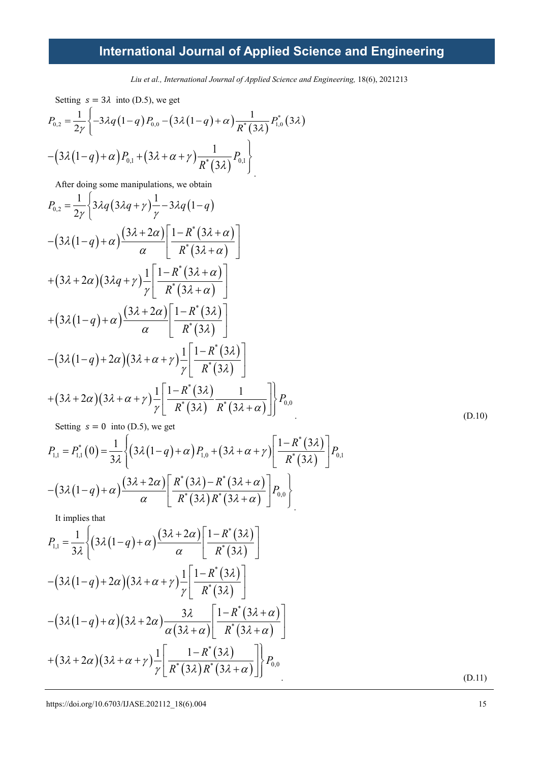*Liu et al., International Journal of Applied Science and Engineering,* 18(6), 2021213

Setting 
$$
s = 3\lambda
$$
 into (D.5), we get  
\n
$$
P_{0,2} = \frac{1}{2\gamma} \left\{ -3\lambda q (1-q) P_{0,0} - (3\lambda (1-q) + \alpha) \frac{1}{R^*(3\lambda)} P_{1,0}^*(3\lambda) - (3\lambda (1-q) + \alpha) P_{0,1} + (3\lambda + \alpha + \gamma) \frac{1}{R^*(3\lambda)} P_{0,1} \right\}
$$

After doing some manipulations, we obtain

$$
P_{0,2} = \frac{1}{2\gamma} \left\{ 3\lambda q \left( 3\lambda q + \gamma \right) \frac{1}{\gamma} - 3\lambda q \left( 1 - q \right) \right\}
$$
  
 
$$
- \left( 3\lambda \left( 1 - q \right) + \alpha \right) \frac{\left( 3\lambda + 2\alpha \right)}{\alpha} \left[ \frac{1 - R^*(3\lambda + \alpha)}{R^*(3\lambda + \alpha)} \right]
$$
  
 
$$
+ \left( 3\lambda + 2\alpha \right) \left( 3\lambda q + \gamma \right) \frac{1}{\gamma} \left[ \frac{1 - R^*(3\lambda + \alpha)}{R^*(3\lambda + \alpha)} \right]
$$
  
 
$$
+ \left( 3\lambda \left( 1 - q \right) + \alpha \right) \frac{\left( 3\lambda + 2\alpha \right)}{\alpha} \left[ \frac{1 - R^*(3\lambda)}{R^*(3\lambda)} \right]
$$
  
 
$$
- \left( 3\lambda \left( 1 - q \right) + 2\alpha \right) \left( 3\lambda + \alpha + \gamma \right) \frac{1}{\gamma} \left[ \frac{1 - R^*(3\lambda)}{R^*(3\lambda)} \right]
$$
  
 
$$
+ \left( 3\lambda + 2\alpha \right) \left( 3\lambda + \alpha + \gamma \right) \frac{1}{\gamma} \left[ \frac{1 - R^*(3\lambda)}{R^*(3\lambda)} \frac{1}{R^*(3\lambda + \alpha)} \right] \right\} P_{0,0}
$$
  
 Setting  $s = 0$  into (D.5), we get

$$
P_{1,1} = P_{1,1}^{*}(0) = \frac{1}{3\lambda} \left\{ \left( 3\lambda (1-q) + \alpha \right) P_{1,0} + \left( 3\lambda + \alpha + \gamma \right) \left[ \frac{1 - R^{*}(3\lambda)}{R^{*}(3\lambda)} \right] P_{0,1} \right\}
$$

$$
- \left( 3\lambda (1-q) + \alpha \right) \frac{\left( 3\lambda + 2\alpha \right)}{\alpha} \left[ \frac{R^{*}(3\lambda) - R^{*}(3\lambda + \alpha)}{R^{*}(3\lambda)R^{*}(3\lambda + \alpha)} \right] P_{0,0}
$$

It implies that

$$
P_{1,1} = \frac{1}{3\lambda} \left\{ \left( 3\lambda \left( 1 - q \right) + \alpha \right) \frac{\left( 3\lambda + 2\alpha \right)}{\alpha} \left[ \frac{1 - R^*(3\lambda)}{R^*(3\lambda)} \right] \right\}
$$

$$
- \left( 3\lambda \left( 1 - q \right) + 2\alpha \right) \left( 3\lambda + \alpha + \gamma \right) \frac{1}{\gamma} \left[ \frac{1 - R^*(3\lambda)}{R^*(3\lambda)} \right]
$$

$$
- \left( 3\lambda \left( 1 - q \right) + \alpha \right) \left( 3\lambda + 2\alpha \right) \frac{3\lambda}{\alpha \left( 3\lambda + \alpha \right)} \left[ \frac{1 - R^*(3\lambda + \alpha)}{R^*(3\lambda + \alpha)} \right]
$$

$$
+ \left( 3\lambda + 2\alpha \right) \left( 3\lambda + \alpha + \gamma \right) \frac{1}{\gamma} \left[ \frac{1 - R^*(3\lambda)}{R^*(3\lambda)R^*(3\lambda + \alpha)} \right] \right\} P_{0,0}
$$
(D.11)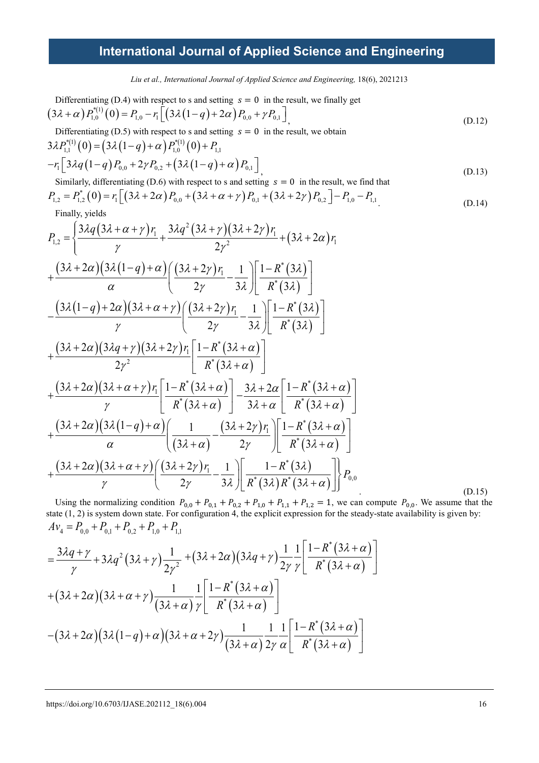*Liu et al., International Journal of Applied Science and Engineering,* 18(6), 2021213

Differentiating (D.4) with respect to s and setting  $s = 0$  in the result, we finally get  $(3\lambda + \alpha) P_{1,0}^{*(1)}(0) = P_{1,0} - r_1 \left[ \left( 3\lambda (1-q) + 2\alpha \right) P_{0,0} + \gamma P_{0,1} \right]$  (D.12)

Differentiating (D.5) with respect to s and setting  $s = 0$  in the result, we obtain

$$
3\lambda P_{1,1}^{*(1)}(0) = (3\lambda (1-q) + \alpha) P_{1,0}^{*(1)}(0) + P_{1,1}
$$
  
-r<sub>1</sub>  $\left[ 3\lambda q (1-q) P_{0,0} + 2\gamma P_{0,2} + (3\lambda (1-q) + \alpha) P_{0,1} \right]$  (D.13)

Similarly, differentiating (D.6) with respect to s and setting  $s = 0$  in the result, we find that

$$
P_{1,2} = P_{1,2}^{*}(0) = r_1 \left[ \left( 3\lambda + 2\alpha \right) P_{0,0} + \left( 3\lambda + \alpha + \gamma \right) P_{0,1} + \left( 3\lambda + 2\gamma \right) P_{0,2} \right] - P_{1,0} - P_{1,1} \tag{D.14}
$$

Finally, yields

$$
P_{1,2} = \left\{ \frac{3\lambda q (3\lambda + \alpha + \gamma) r_1}{\gamma} + \frac{3\lambda q^2 (3\lambda + \gamma) (3\lambda + 2\gamma) r_1}{2\gamma^2} + (3\lambda + 2\alpha) r_1 \right\}
$$
  
+ 
$$
\frac{(3\lambda + 2\alpha) (3\lambda (1-q) + \alpha) (3\lambda + 2\gamma) r_1}{\alpha} - \frac{1}{3\lambda} \left[ \frac{1 - R^*(3\lambda)}{R^*(3\lambda)} \right]
$$
  
- 
$$
\frac{(3\lambda (1-q) + 2\alpha) (3\lambda + \alpha + \gamma) (3\lambda + 2\gamma) r_1}{\gamma} - \frac{1}{3\lambda} \left[ \frac{1 - R^*(3\lambda)}{R^*(3\lambda)} \right]
$$
  
+ 
$$
\frac{(3\lambda + 2\alpha) (3\lambda q + \gamma) (3\lambda + 2\gamma) r_1}{2\gamma^2} \left[ \frac{1 - R^*(3\lambda + \alpha)}{R^*(3\lambda + \alpha)} \right]
$$
  
+ 
$$
\frac{(3\lambda + 2\alpha) (3\lambda + \alpha + \gamma) r_1}{\gamma} \left[ \frac{1 - R^*(3\lambda + \alpha)}{R^*(3\lambda + \alpha)} \right] - \frac{3\lambda + 2\alpha}{3\lambda + \alpha} \left[ \frac{1 - R^*(3\lambda + \alpha)}{R^*(3\lambda + \alpha)} \right]
$$
  
+ 
$$
\frac{(3\lambda + 2\alpha) (3\lambda (1-q) + \alpha) (1 - (3\lambda + 2\gamma) r_1}{\alpha} \left[ \frac{1 - (3\lambda + 2\gamma) r_1}{3\lambda} \right] \left[ \frac{1 - R^*(3\lambda + \alpha)}{R^*(3\lambda + \alpha)} \right]
$$
  
+ 
$$
\frac{(3\lambda + 2\alpha) (3\lambda + \alpha + \gamma) (3\lambda + 2\gamma) r_1}{\gamma} - \frac{1}{3\lambda} \left[ \frac{1 - R^*(3\lambda)}{R^*(3\lambda) R^*(3\lambda + \alpha)} \right] P_{0,0}
$$
 (D.15)

Using the normalizing condition  $P_{0,0} + P_{0,1} + P_{0,2} + P_{1,0} + P_{1,1} + P_{1,2} = 1$ , we can compute  $P_{0,0}$ . We assume that the state (1, 2) is system down state. For configuration 4, the explicit expression for the steady-state availability is given by:  $A v_4 = P_{0,0} + P_{0,1} + P_{0,2} + P_{1,0} + P_{1,1}$ 

$$
=\frac{3\lambda q+\gamma}{\gamma}+3\lambda q^{2}(3\lambda+\gamma)\frac{1}{2\gamma^{2}}+(3\lambda+2\alpha)(3\lambda q+\gamma)\frac{1}{2\gamma}\frac{1}{\gamma}\left[\frac{1-R^{*}(3\lambda+\alpha)}{R^{*}(3\lambda+\alpha)}\right] +(3\lambda+2\alpha)(3\lambda+\alpha+\gamma)\frac{1}{(3\lambda+\alpha)}\frac{1}{\gamma}\left[\frac{1-R^{*}(3\lambda+\alpha)}{R^{*}(3\lambda+\alpha)}\right] -(3\lambda+2\alpha)(3\lambda(1-q)+\alpha)(3\lambda+\alpha+2\gamma)\frac{1}{(3\lambda+\alpha)}\frac{1}{2\gamma}\frac{1}{\alpha}\left[\frac{1-R^{*}(3\lambda+\alpha)}{R^{*}(3\lambda+\alpha)}\right]
$$